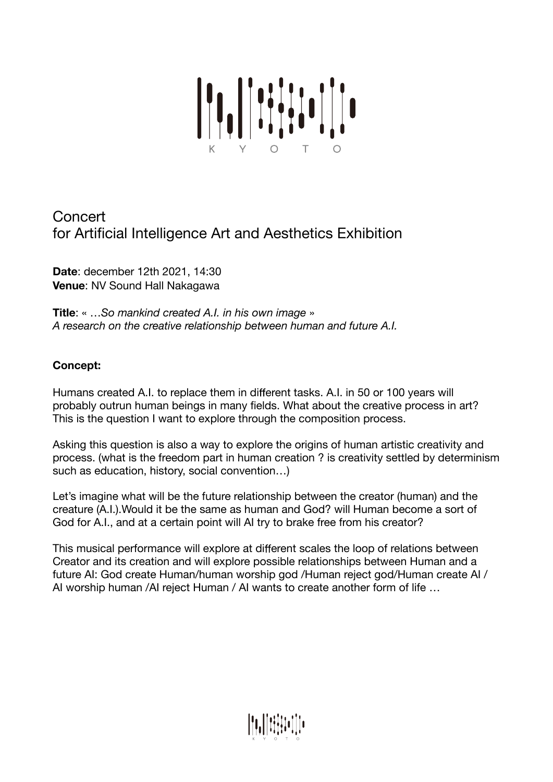

# **Concert** for Artificial Intelligence Art and Aesthetics Exhibition

**Date**: december 12th 2021, 14:30 **Venue**: NV Sound Hall Nakagawa

**Title**: « …*So mankind created A.I. in his own image* » *A research on the creative relationship between human and future A.I.* 

# **Concept:**

Humans created A.I. to replace them in different tasks. A.I. in 50 or 100 years will probably outrun human beings in many fields. What about the creative process in art? This is the question I want to explore through the composition process.

Asking this question is also a way to explore the origins of human artistic creativity and process. (what is the freedom part in human creation ? is creativity settled by determinism such as education, history, social convention…)

Let's imagine what will be the future relationship between the creator (human) and the creature (A.I.).Would it be the same as human and God? will Human become a sort of God for A.I., and at a certain point will AI try to brake free from his creator?

This musical performance will explore at different scales the loop of relations between Creator and its creation and will explore possible relationships between Human and a future AI: God create Human/human worship god /Human reject god/Human create AI / AI worship human /AI reject Human / AI wants to create another form of life …